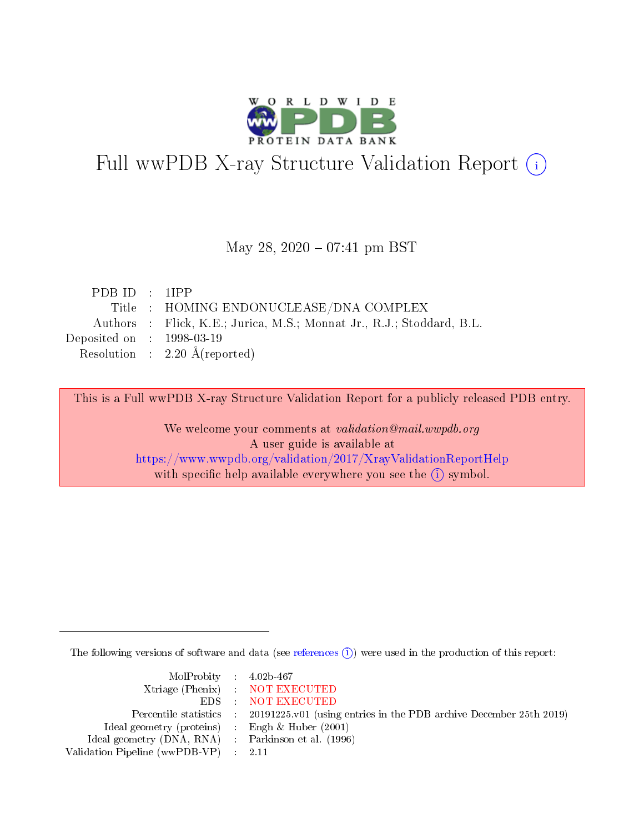

# Full wwPDB X-ray Structure Validation Report (i)

### May 28,  $2020 - 07:41$  pm BST

| PDBID : IIPP                                                          |
|-----------------------------------------------------------------------|
| Title : HOMING ENDONUCLEASE/DNA COMPLEX                               |
| Authors : Flick, K.E.; Jurica, M.S.; Monnat Jr., R.J.; Stoddard, B.L. |
| Deposited on $\therefore$ 1998-03-19                                  |
| Resolution : $2.20 \text{ Å}$ (reported)                              |
|                                                                       |

This is a Full wwPDB X-ray Structure Validation Report for a publicly released PDB entry.

We welcome your comments at validation@mail.wwpdb.org A user guide is available at <https://www.wwpdb.org/validation/2017/XrayValidationReportHelp> with specific help available everywhere you see the  $(i)$  symbol.

The following versions of software and data (see [references](https://www.wwpdb.org/validation/2017/XrayValidationReportHelp#references)  $\overline{(1)}$ ) were used in the production of this report:

| $MolProbability$ 4.02b-467                          |                                                                                            |
|-----------------------------------------------------|--------------------------------------------------------------------------------------------|
|                                                     | Xtriage (Phenix) NOT EXECUTED                                                              |
|                                                     | EDS NOT EXECUTED                                                                           |
|                                                     | Percentile statistics : 20191225.v01 (using entries in the PDB archive December 25th 2019) |
| Ideal geometry (proteins) : Engh $\&$ Huber (2001)  |                                                                                            |
| Ideal geometry (DNA, RNA) : Parkinson et al. (1996) |                                                                                            |
| Validation Pipeline (wwPDB-VP) : 2.11               |                                                                                            |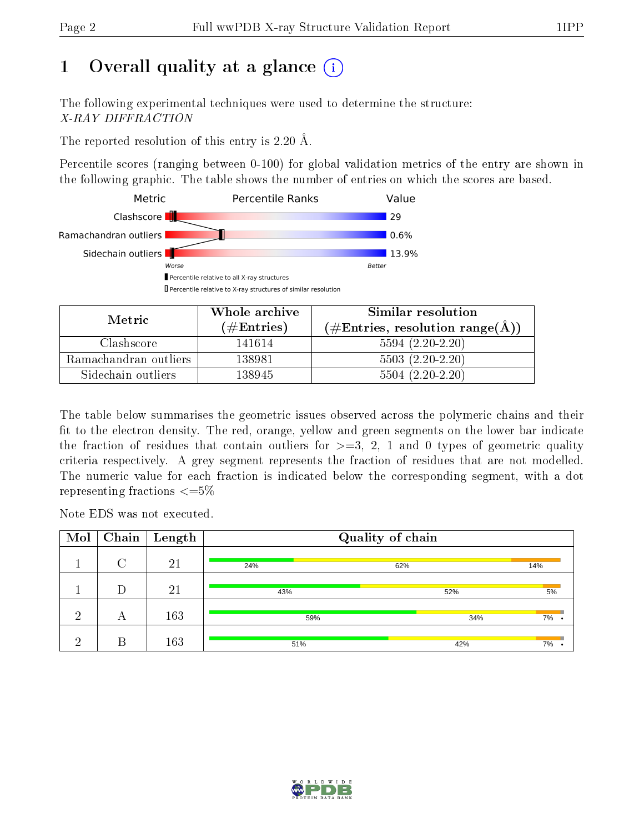# 1 [O](https://www.wwpdb.org/validation/2017/XrayValidationReportHelp#overall_quality)verall quality at a glance  $(i)$

The following experimental techniques were used to determine the structure: X-RAY DIFFRACTION

The reported resolution of this entry is 2.20 Å.

Percentile scores (ranging between 0-100) for global validation metrics of the entry are shown in the following graphic. The table shows the number of entries on which the scores are based.



| Metric.               | Whole archive       | Similar resolution                                 |  |  |
|-----------------------|---------------------|----------------------------------------------------|--|--|
|                       | (# $\rm{Entries}$ ) | $(\text{\#Entries, resolution range}(\text{\AA}))$ |  |  |
| Clashscore            | 141614              | $5594(2.20-2.20)$                                  |  |  |
| Ramachandran outliers | 138981              | $5503(2.20-2.20)$                                  |  |  |
| Sidechain outliers    | 138945              | $5504(2.20-2.20)$                                  |  |  |

The table below summarises the geometric issues observed across the polymeric chains and their fit to the electron density. The red, orange, yellow and green segments on the lower bar indicate the fraction of residues that contain outliers for  $\geq=3$ , 2, 1 and 0 types of geometric quality criteria respectively. A grey segment represents the fraction of residues that are not modelled. The numeric value for each fraction is indicated below the corresponding segment, with a dot representing fractions  $\epsilon = 5\%$ 

Note EDS was not executed.

| Mol |                    | $\boxed{\text{Chain}}$ Length | Quality of chain |            |     |  |
|-----|--------------------|-------------------------------|------------------|------------|-----|--|
|     | $\curvearrowright$ | 21                            | 24%              | 62%        | 14% |  |
|     |                    | 21                            | 43%              | 52%        | 5%  |  |
| ച   | А                  | 163                           |                  | 59%<br>34% | 7%  |  |
| ച   | R                  | 163                           | 51%<br>42%       |            | 7%  |  |

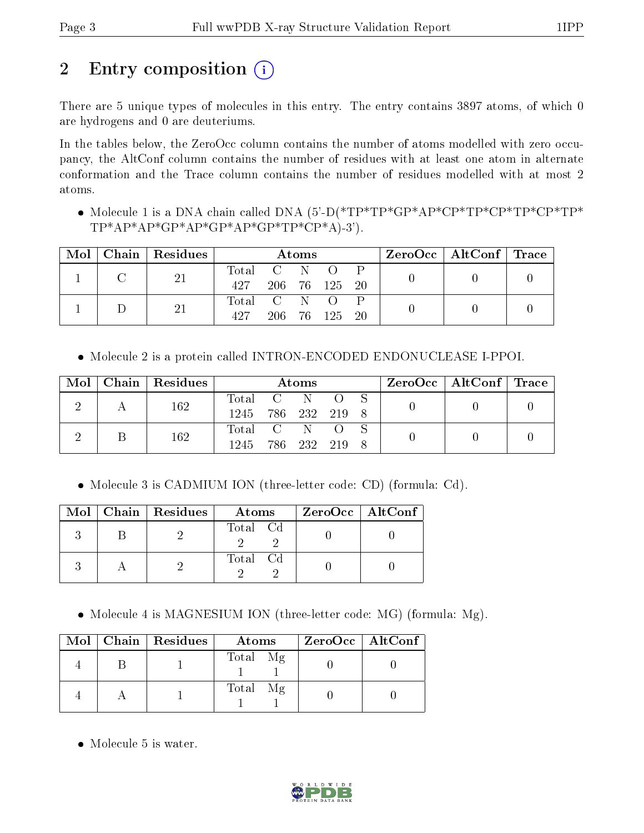# 2 Entry composition (i)

There are 5 unique types of molecules in this entry. The entry contains 3897 atoms, of which 0 are hydrogens and 0 are deuteriums.

In the tables below, the ZeroOcc column contains the number of atoms modelled with zero occupancy, the AltConf column contains the number of residues with at least one atom in alternate conformation and the Trace column contains the number of residues modelled with at most 2 atoms.

 Molecule 1 is a DNA chain called DNA (5'-D(\*TP\*TP\*GP\*AP\*CP\*TP\*CP\*TP\*CP\*TP\*  $TP^*AP^*AP^*GP^*AP^*GP^*AP^*GP^*TP^*CP^*A)^-3$ ').

| Mol |  | $\vert$ Chain $\vert$ Residues | Atoms       |             |            |            |           | $\text{ZeroOcc} \mid \text{AltConf} \mid \text{Trace}$ |  |
|-----|--|--------------------------------|-------------|-------------|------------|------------|-----------|--------------------------------------------------------|--|
|     |  | 21                             |             | Total C N O |            |            |           |                                                        |  |
|     |  |                                | 427         |             |            | 206 76 125 | $\sim$ 20 |                                                        |  |
|     |  | 21                             | Total C N O |             |            |            |           |                                                        |  |
|     |  | 497                            |             |             | 206 76 125 | - 20       |           |                                                        |  |

Molecule 2 is a protein called INTRON-ENCODED ENDONUCLEASE I-PPOI.

| Mol |  | Chain   Residues   | Atoms       |  |  |  |  | $\text{ZeroOcc}$   AltConf   Trace |  |
|-----|--|--------------------|-------------|--|--|--|--|------------------------------------|--|
|     |  | 162                | Total C N   |  |  |  |  |                                    |  |
|     |  | 1245 786 232 219 8 |             |  |  |  |  |                                    |  |
|     |  | 162                | Total C N O |  |  |  |  |                                    |  |
|     |  | 1245 786 232 219 8 |             |  |  |  |  |                                    |  |

Molecule 3 is CADMIUM ION (three-letter code: CD) (formula: Cd).

|  | Mol   Chain   Residues | Atoms    | ZeroOcc   AltConf |  |
|--|------------------------|----------|-------------------|--|
|  |                        | Total Cd |                   |  |
|  |                        | Total Cd |                   |  |

• Molecule 4 is MAGNESIUM ION (three-letter code: MG) (formula: Mg).

|  | Mol   Chain   Residues | Atoms    | $ZeroOcc \   \$ AltConf |
|--|------------------------|----------|-------------------------|
|  |                        | Total Mg |                         |
|  |                        | Total Mg |                         |

• Molecule 5 is water.

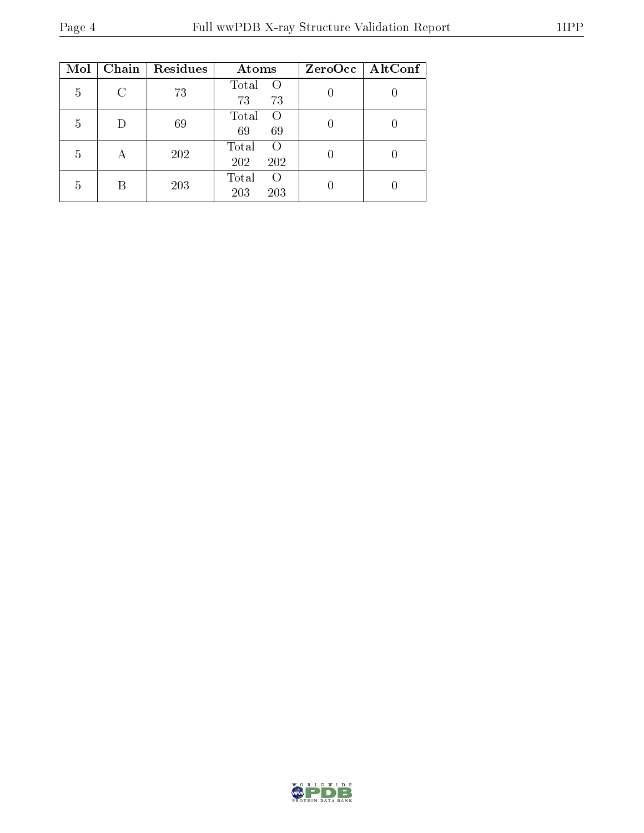| Mol | Chain  | Residues | Atoms                                   | ZeroOcc   AltConf |
|-----|--------|----------|-----------------------------------------|-------------------|
| 5   | $\cap$ | 73       | Total<br>$\left($<br>73<br>73           |                   |
| 5   | D      | 69       | Total<br>$\Omega$<br>69<br>69           |                   |
| 5   | А      | 202      | Total<br>$\Omega$<br>202<br>202         |                   |
| 5   | R      | 203      | Total<br>$\left( \right)$<br>203<br>203 |                   |

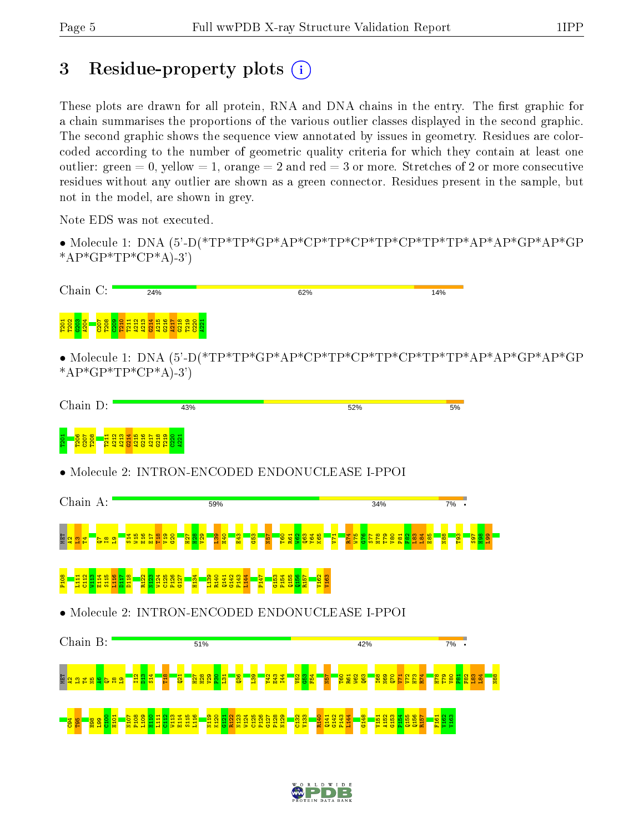# 3 Residue-property plots  $(i)$

These plots are drawn for all protein, RNA and DNA chains in the entry. The first graphic for a chain summarises the proportions of the various outlier classes displayed in the second graphic. The second graphic shows the sequence view annotated by issues in geometry. Residues are colorcoded according to the number of geometric quality criteria for which they contain at least one outlier: green  $= 0$ , yellow  $= 1$ , orange  $= 2$  and red  $= 3$  or more. Stretches of 2 or more consecutive residues without any outlier are shown as a green connector. Residues present in the sample, but not in the model, are shown in grey.

Note EDS was not executed.

• Molecule 1: DNA (5'-D(\*TP\*TP\*GP\*AP\*CP\*TP\*CP\*TP\*CP\*TP\*TP\*AP\*AP\*GP\*AP\*GP \* $AP*GP*TP*CP*A$ -3')



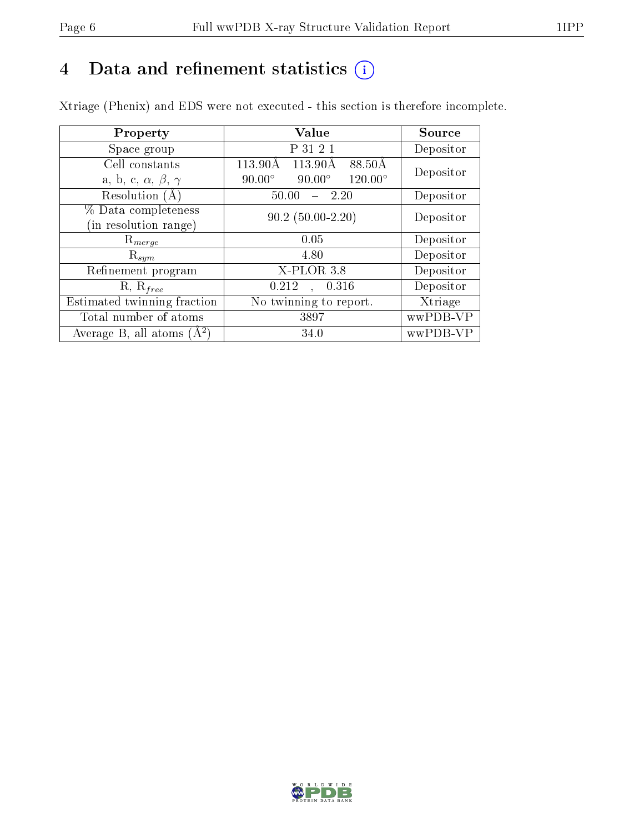# 4 Data and refinement statistics  $(i)$

Xtriage (Phenix) and EDS were not executed - this section is therefore incomplete.

| Property                               | Value                                              | Source    |
|----------------------------------------|----------------------------------------------------|-----------|
| Space group                            | P 31 2 1                                           | Depositor |
| Cell constants                         | $\overline{11}3.90\text{\AA}$<br>113.90Å<br>88.50Å | Depositor |
| a, b, c, $\alpha$ , $\beta$ , $\gamma$ | $120.00^\circ$<br>$90.00^\circ$<br>$90.00^\circ$   |           |
| Resolution (A)                         | 50.00<br>- 2.20                                    | Depositor |
| % Data completeness                    | $90.2(50.00-2.20)$                                 | Depositor |
| (in resolution range)                  |                                                    |           |
| $\mathrm{R}_{merge}$                   | 0.05                                               | Depositor |
| $\mathrm{R}_{sym}$                     | 4.80                                               | Depositor |
| Refinement program                     | X-PLOR 3.8                                         | Depositor |
| $R, R_{free}$                          | 0.212<br>, 0.316                                   | Depositor |
| Estimated twinning fraction            | $\overline{\text{No}}$ twinning to report.         | Xtriage   |
| Total number of atoms                  | 3897                                               | wwPDB-VP  |
| Average B, all atoms $(A^2)$           | 34.0                                               | wwPDB-VP  |

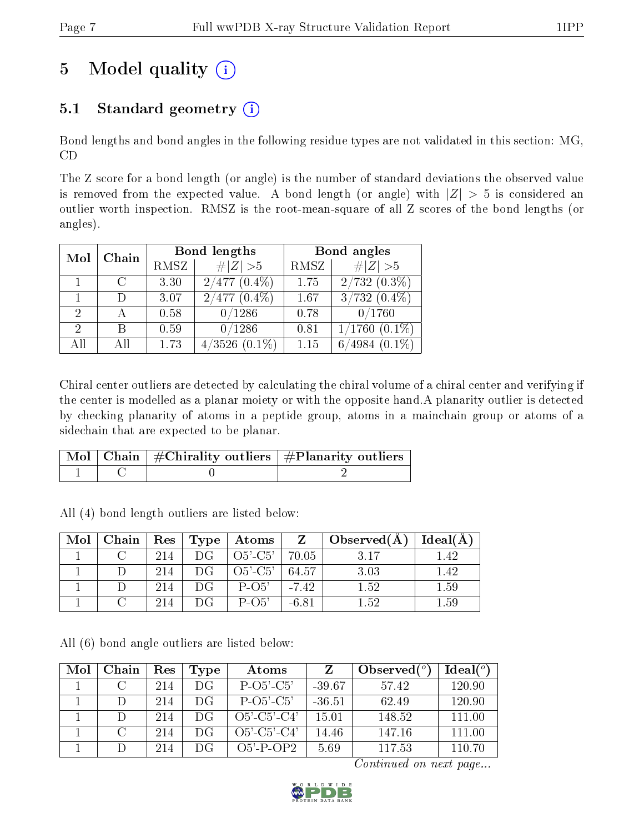# 5 Model quality  $(i)$

# 5.1 Standard geometry  $(i)$

Bond lengths and bond angles in the following residue types are not validated in this section: MG, CD

The Z score for a bond length (or angle) is the number of standard deviations the observed value is removed from the expected value. A bond length (or angle) with  $|Z| > 5$  is considered an outlier worth inspection. RMSZ is the root-mean-square of all Z scores of the bond lengths (or angles).

| Chain<br>Mol |             |      | Bond lengths                     | Bond angles |                           |  |
|--------------|-------------|------|----------------------------------|-------------|---------------------------|--|
|              |             | RMSZ | $\ Z\  > 5$                      | RMSZ        | $\# Z >5$                 |  |
|              | $\mathbf C$ | 3.30 | $2/477(0.4\%)$                   | 1.75        | $2/732(0.3\%)$            |  |
|              |             | 3.07 | $(0.4\%)$<br>$477^{\circ}$<br>2/ | 1.67        | $\overline{3/732(0.4\%)}$ |  |
| 2            |             | 0.58 | 0/1286                           | 0.78        | 0/1760                    |  |
| 2            | R           | 0.59 | 0/1286                           | 0.81        | $(0.1\%)$<br>1/1760       |  |
| All          |             | 1.73 | 4/3526<br>$(0.1\%)$              | 1.15        | $(0.1\%)$                 |  |

Chiral center outliers are detected by calculating the chiral volume of a chiral center and verifying if the center is modelled as a planar moiety or with the opposite hand.A planarity outlier is detected by checking planarity of atoms in a peptide group, atoms in a mainchain group or atoms of a sidechain that are expected to be planar.

|  | $\mid$ Mol $\mid$ Chain $\mid$ #Chirality outliers $\mid$ #Planarity outliers $'$ |
|--|-----------------------------------------------------------------------------------|
|  |                                                                                   |

All (4) bond length outliers are listed below:

| Mol |     |     | Chain   Res   Type   Atoms | <sup>Z</sup> | $\vert$ Observed(A) | Ideal(A) |
|-----|-----|-----|----------------------------|--------------|---------------------|----------|
|     | 214 | DG. | $O5'-C5'$                  | 70.05        | 3.17                | 1.42     |
|     | 214 | DG  | $O5'-C5'$                  | 64.57        | 3.03                | 1.42     |
|     | 214 | DG  | $P-O5'$                    | $-7.42$      | 1.52                | 1.59     |
|     | 214 | DG  | $P-O5'$                    | $-6.81$      | 1.52                | $1.59\,$ |

All (6) bond angle outliers are listed below:

| Mol | Chain  | Res | Type | Atoms                 |          | Observed $(°)$ | Ideal $(°)$ |
|-----|--------|-----|------|-----------------------|----------|----------------|-------------|
|     |        | 214 | DG   | $P$ -O5'-C5'          | $-39.67$ | 57.42          | 120.90      |
|     | $\Box$ | 214 | DG   | $P-O5'$ - $C5'$       | $-36.51$ | 62.49          | 120.90      |
|     |        | 214 | DG   | $O5'$ - $C5'$ - $C4'$ | 15.01    | 148.52         | 111.00      |
|     |        | 214 | DG   | $O5'$ -C5'-C4'        | 14.46    | 147.16         | 111.00      |
|     |        | 214 | DG   | $O5'$ -P-OP2          | 5.69     | 117.53         | 110.70      |

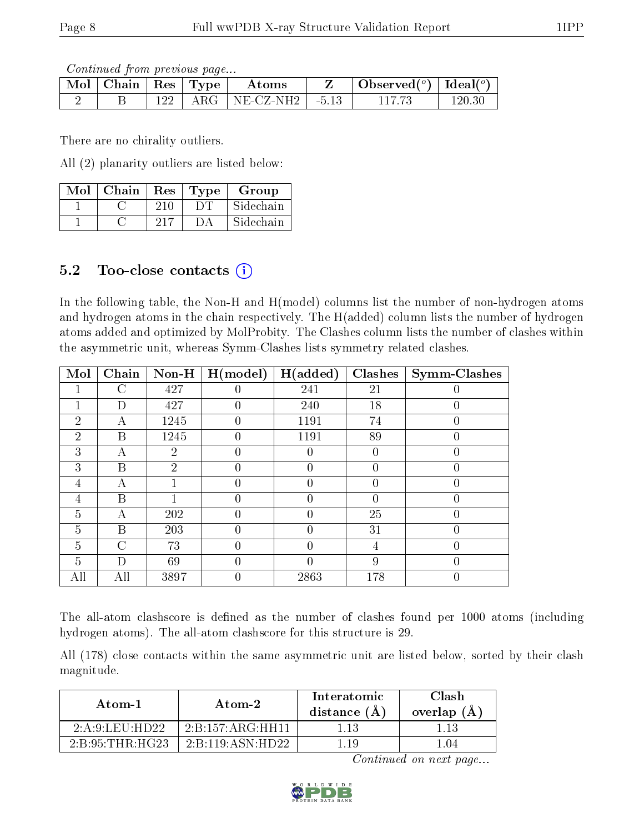Continued from previous page...

| $\parallel$ Mol $\parallel$ Chain $\parallel$ Res $\parallel$ Type $\perp$ |            | Atoms     |         | Observed <sup>(<math>\circ</math>)</sup> [Ideal( $\circ$ ) |        |
|----------------------------------------------------------------------------|------------|-----------|---------|------------------------------------------------------------|--------|
|                                                                            | $\rm{ARG}$ | NE-CZ-NH2 | $-5.13$ |                                                            | 120.30 |

There are no chirality outliers.

All (2) planarity outliers are listed below:

| Mol | Chain | Res | Type | Group     |
|-----|-------|-----|------|-----------|
|     |       | 210 |      | Sidechain |
|     |       |     |      | Sidechain |

# 5.2 Too-close contacts (i)

In the following table, the Non-H and H(model) columns list the number of non-hydrogen atoms and hydrogen atoms in the chain respectively. The H(added) column lists the number of hydrogen atoms added and optimized by MolProbity. The Clashes column lists the number of clashes within the asymmetric unit, whereas Symm-Clashes lists symmetry related clashes.

| Mol            | Chain | $Non-H$        | H (model)        | H(added)         | <b>Clashes</b>   | Symm-Clashes     |
|----------------|-------|----------------|------------------|------------------|------------------|------------------|
|                | C     | 427            | $\theta$         | 241              | 21               |                  |
|                | D     | 427            | 0                | 240              | 18               |                  |
| $\overline{2}$ | Α     | 1245           | $\theta$         | 1191             | 74               | 0                |
| $\overline{2}$ | B     | 1245           | $\theta$         | 1191             | 89               | $\theta$         |
| 3              | А     | $\overline{2}$ | 0                |                  | 0                |                  |
| 3              | Β     | $\overline{2}$ | $\theta$         | 0                | 0                | $\left( \right)$ |
| 4              | А     |                | $\left( \right)$ | $\left( \right)$ | $\left( \right)$ | 0                |
| 4              | Β     |                | 0                |                  | $\left( \right)$ |                  |
| 5              | А     | 202            | 0                | $\left( \right)$ | 25               | 0                |
| 5              | B     | 203            | $\Omega$         | 0                | 31               | 0                |
| 5              | C     | 73             | 0                |                  | 4                |                  |
| 5              | D     | 69             | 0                |                  | 9                | 0                |
| All            | All   | 3897           | 0                | 2863             | 178              | U                |

The all-atom clashscore is defined as the number of clashes found per 1000 atoms (including hydrogen atoms). The all-atom clashscore for this structure is 29.

All (178) close contacts within the same asymmetric unit are listed below, sorted by their clash magnitude.

| Atom-1                                     | Atom-2                                        | Interatomic<br>distance (A) | Clash<br>overlap $(A)$ |
|--------------------------------------------|-----------------------------------------------|-----------------------------|------------------------|
| $2 \cdot A \cdot 9 \cdot I$ . ELL: HD $22$ | $2:B:157:AR$ <sub>S</sub> $H$ H <sub>11</sub> |                             |                        |
| 2:B:95:THR:HG23                            | 2:B:119:ASN:HD22                              | 11Q                         | - 04                   |

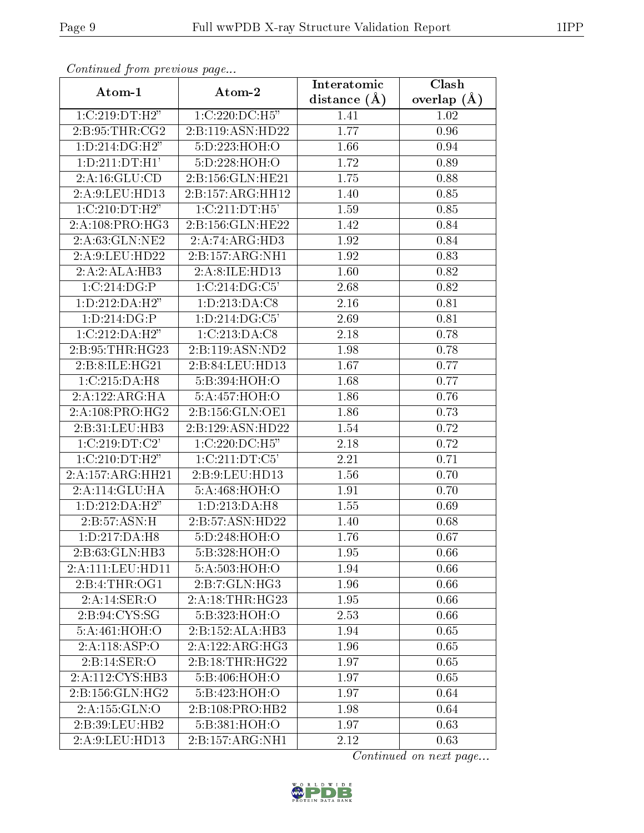| Continuation provided pugato        |                     | Interatomic    | Clash           |
|-------------------------------------|---------------------|----------------|-----------------|
| Atom-1                              | Atom-2              | distance $(A)$ | overlap $(\AA)$ |
| 1:C:219:DT:H2"                      | 1:C:220:DC:H5"      | 1.41           | 1.02            |
| 2: B:95:THR:CG2                     | 2:B:119:ASN:HD22    | 1.77           | 0.96            |
| 1:D:214:DG:H2"                      | 5:D:223:HOH:O       | 1.66           | 0.94            |
| 1:D:211:DT:H1'                      | 5:D:228:HOH:O       | 1.72           | 0.89            |
| 2:A:16:GLU:CD                       | 2:B:156:GLN:HE21    | 1.75           | 0.88            |
| 2:A:9:LEU:HD13                      | 2:B:157:ARG:HH12    | 1.40           | 0.85            |
| 1:C:210:DT:H2"                      | 1:C:211:DT:H5'      | 1.59           | 0.85            |
| 2:A:108:PRO:HG3                     | 2:B:156:GLN:HE22    | 1.42           | 0.84            |
| 2:A:63:GLN:NE2                      | 2:A:74:ARG:HD3      | 1.92           | 0.84            |
| 2:A:9:LEU:HD22                      | 2:B:157:ARG:NH1     | 1.92           | 0.83            |
| 2:A:2:ALA:HB3                       | 2:A:8:ILE:HD13      | 1.60           | 0.82            |
| 1:C:214:DG:P                        | 1:C:214:DG:C5'      | 2.68           | 0.82            |
| 1: D: 212: DA: H2"                  | 1:D:213:DA:CS       | 2.16           | 0.81            |
| 1:D:214:DG:P                        | 1:D:214:DG:C5'      | 2.69           | 0.81            |
| 1:C:212:DA:H2"                      | 1:C:213:DA:CS       | 2.18           | 0.78            |
| 2: B: 95: THR: HG23                 | 2:B:119:ASN:ND2     | 1.98           | 0.78            |
| 2:B:8:ILE:HG21                      | 2:B:84:LEU:HD13     | 1.67           | 0.77            |
| 1:C:215:DA:H8                       | 5:B:394:HOH:O       | 1.68           | 0.77            |
| 2:A:122:ARG:HA                      | 5:A:457:HOH:O       | 1.86           | 0.76            |
| 2:A:108:PRO:HG2                     | 2:B:156:GLN:OE1     | 1.86           | 0.73            |
| 2:B:31:LEU:HB3                      | 2:B:129:ASN:HD22    | 1.54           | 0.72            |
| 1:C:219:DT:C2'                      | 1:C:220:DC:H5"      | 2.18           | 0.72            |
| 1:C:210:DT:H2"                      | 1:C:211:DT:C5'      | 2.21           | 0.71            |
| 2:A:157:ARG:HH21                    | 2:B:9:LEU:HD13      | 1.56           | 0.70            |
| 2:A:114:GLU:HA                      | 5:A:468:HOH:O       | 1.91           | 0.70            |
| 1: D: 212: DA: H2"                  | 1:D:213:DA:H8       | 1.55           | 0.69            |
| 2:B:57:ASN:H                        | 2:B:57:ASN:HD22     | 1.40           | 0.68            |
| $1: D: 217:DA: \overline{H8}$       | 5:D:248:HOH:O       | 1.76           | 0.67            |
| 2:B:63:GLN:HB3                      | 5:B:328:HOH:O       | 1.95           | 0.66            |
| 2:A:111:LEU:HD11                    | 5:A:503:HOH:O       | 1.94           | 0.66            |
| 2:B:4:THR:OG1                       | 2: B: 7: GLN: HG3   | 1.96           | 0.66            |
| 2:A:14:SER:O                        | 2: A:18:THR:HG23    | 1.95           | 0.66            |
| 2: B: 94: CYS: SG                   | 5:B:323:HOH:O       | 2.53           | 0.66            |
| 5:A:461:HOH:O                       | 2:B:152:ALA:HB3     | 1.94           | 0.65            |
| 2:A:118:ASP:O                       | 2:A:122:ARG:HG3     | 1.96           | 0.65            |
| 2:B:14:SER:O                        | 2: B: 18: THR: HG22 | 1.97           | 0.65            |
| $2:A:112:\overline{\text{CYS:HB3}}$ | 5:B:406:HOH:O       | 1.97           | 0.65            |
| 2:B:156:GLN:HG2                     | 5:B:423:HOH:O       | 1.97           | 0.64            |
| 2:A:155:GLN:O                       | 2:B:108:PRO:HB2     | 1.98           | 0.64            |
| 2:B:39:LEU:HB2                      | 5:B:381:HOH:O       | 1.97           | 0.63            |
| 2:A:9:LEU:HD13                      | 2:B:157:ARG:NH1     | 2.12           | 0.63            |

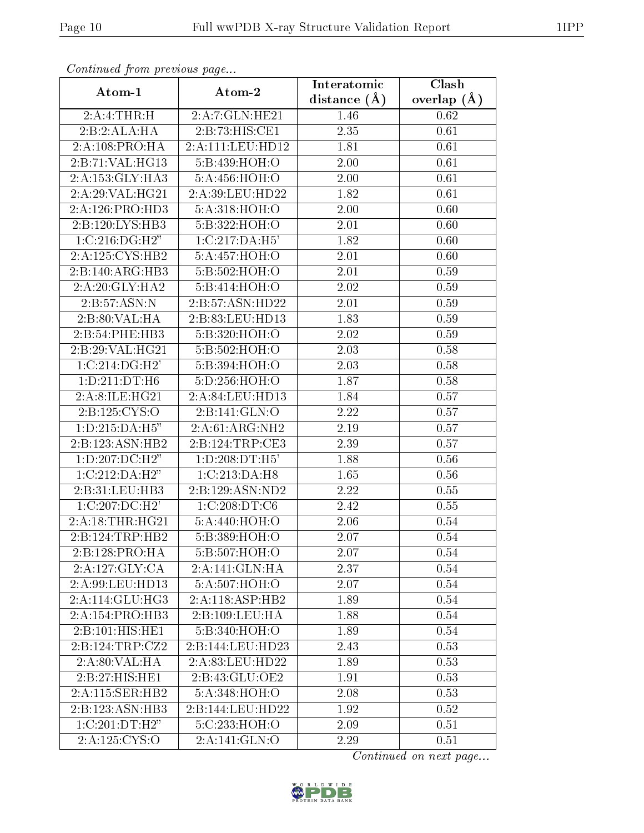| Continuatu jibin previous puge |                            | Interatomic      | Clash           |  |
|--------------------------------|----------------------------|------------------|-----------------|--|
| Atom-1                         | Atom-2                     | distance $(\AA)$ | overlap $(\AA)$ |  |
| $2:A:4:THR:\overline{H}$       | 2:A:7:GLN:HE21             | 1.46             | 0.62            |  |
| 2:B:2:ALA:HA                   | 2:B:73:HIS:CE1             | 2.35             | 0.61            |  |
| 2:A:108:PRO:HA                 | 2:A:111:LEU:HD12           | 1.81             | 0.61            |  |
| 2:B:71:VAL:HG13                | 5:B:439:HOH:O              | 2.00             | 0.61            |  |
| 2:A:153:GLY:HA3                | 5:A:456:HOH:O              | 2.00             | 0.61            |  |
| 2:A:29:VAL:HG21                | 2:A:39:LEU:HD22            | 1.82             | 0.61            |  |
| 2:A:126:PRO:HD3                | 5:A:318:HOH:O              | 2.00             | 0.60            |  |
| 2:B:120:LYS:HB3                | 5:B:322:HOH:O              | 2.01             | 0.60            |  |
| 1:C:216:DG:H2"                 | 1:C:217:DA:H5'             | 1.82             | 0.60            |  |
| 2:A:125:CYS:HB2                | 5:A:457:HOH:O              | 2.01             | 0.60            |  |
| 2:B:140:ARG:HB3                | 5:B:502:HOH:O              | 2.01             | 0.59            |  |
| 2:A:20:GLY:HAZ                 | 5:B:414:HOH:O              | 2.02             | 0.59            |  |
| 2:B:57:ASN:N                   | 2:B:57:ASN:HD22            | 2.01             | 0.59            |  |
| 2:B:80:VAL:HA                  | 2:B:83:LEU:HD13            | 1.83             | 0.59            |  |
| 2:B:54:PHE:HB3                 | 5:B:320:HOH:O              | 2.02             | 0.59            |  |
| 2:B:29:VAL:HG21                | 5:B:502:HOH:O              | 2.03             | 0.58            |  |
| 1:C:214:DG:H2                  | 5:B:394:HOH:O              | 2.03             | 0.58            |  |
| 1:D:211:DT:H6                  | 5:D:256:HOH:O              | 1.87             | 0.58            |  |
| 2:A:8:ILE:HG21                 | 2:A:84:LEU:HD13            | 1.84             | 0.57            |  |
| 2:B:125:CYS:O                  | 2:Bi:141:GLN:O             | 2.22             | 0.57            |  |
| 1:D:215:DA:H5"                 | 2:A:61:ARG:NH2             | 2.19             | 0.57            |  |
| 2:B:123:ASN:HB2                | 2: B: 124: TRP: CE3        | 2.39             | 0.57            |  |
| 1:D:207:DC:H2"                 | 1: D:208: DT:H5'           | 1.88             | 0.56            |  |
| 1:C:212:DA:H2"                 | $1:C:213:DA:\overline{H8}$ | 1.65             | 0.56            |  |
| 2:B:31:LEU:HB3                 | 2:B:129:ASN:ND2            | 2.22             | 0.55            |  |
| 1:C:207:DC:H2'                 | 1:C:208:DT:C6              | 2.42             | 0.55            |  |
| 2:A:18:THR:HG21                | 5:A:440:HOH:O              | 2.06             | 0.54            |  |
| 2:B:124:TRP:HB2                | 5:B:389:HOH:O              | 2.07             | 0.54            |  |
| 2:B:128:PRO:HA                 | 5:B:507:HOH:O              | 2.07             | 0.54            |  |
| 2:A:127:GLY:CA                 | 2:A:141:GLN:HA             | 2.37             | 0.54            |  |
| 2: A:99: LEU: HD13             | 5:A:507:HOH:O              | 2.07             | 0.54            |  |
| 2:A:114:GLU:HG3                | 2:A:118:ASP:HB2            | 1.89             | 0.54            |  |
| 2:A:154:PRO:HB3                | 2:B:109:LEU:HA             | 1.88             | 0.54            |  |
| 2:B:101:HIS:HE1                | 5:B:340:HOH:O              | 1.89             | 0.54            |  |
| 2:B:124:TRP:CZ2                | 2:B:144:LEU:HD23           | 2.43             | 0.53            |  |
| 2:A:80:VAL:HA                  | 2:A:83:LEU:HD22            | 1.89             | 0.53            |  |
| 2:B:27:HIS:HE1                 | 2:B:43:GLU:OE2             | 1.91             | 0.53            |  |
| 2:A:115:SER:HB2                | 5:A:348:HOH:O              | 2.08             | 0.53            |  |
| 2:B:123:ASN:HB3                | 2:B:144:LEU:HD22           | 1.92             | 0.52            |  |
| 1:C:201:DT:H2"                 | 5:C:233:HOH:O              | 2.09             | 0.51            |  |
| 2:A:125:CYS:O                  | 2:A:141:GLN:O              | 2.29             | 0.51            |  |

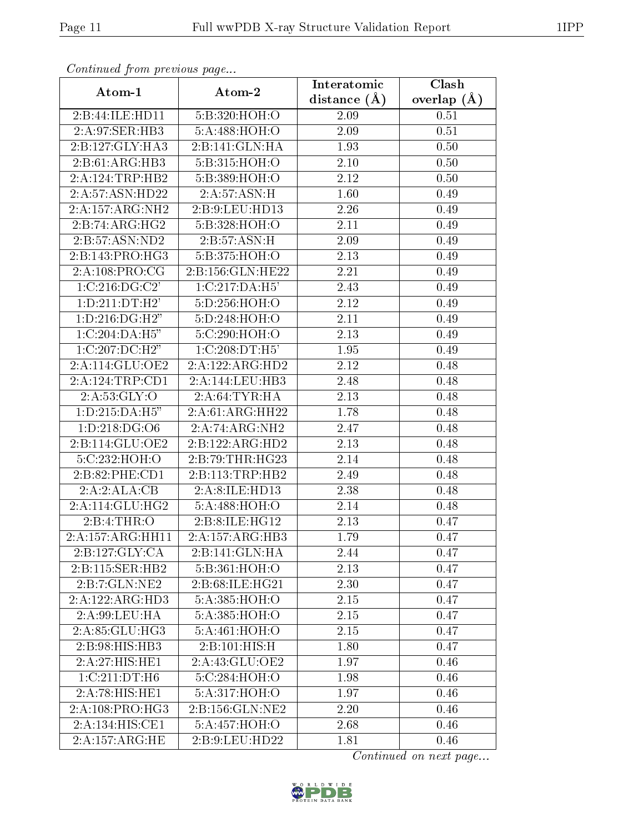| Continuea from previous page |                                            | Interatomic       | Clash         |  |
|------------------------------|--------------------------------------------|-------------------|---------------|--|
| Atom-1                       | Atom-2                                     | distance $(A)$    | overlap $(A)$ |  |
| 2:B:44:ILE:HD11              | 5: B:320:HOH:O                             | 2.09              | 0.51          |  |
| 2:A:97:SER:HB3               | 5:A:488:HOH:O                              | 2.09              | 0.51          |  |
| 2:B:127:GLY:HA3              | 2:B:141:GLN:HA                             | 1.93              | 0.50          |  |
| 2:B:61:ARG:HB3               | 5:B:315:HOH:O                              | 2.10              | 0.50          |  |
| 2:A:124:TRP:HB2              | 5:B:389:HOH:O                              | 2.12              | 0.50          |  |
| 2:A:57:ASN:HD22              | 2:A:57:ASN:H                               | 1.60              | 0.49          |  |
| 2:A:157:ARG:NH2              | 2: B: 9: LEU: HD13                         | 2.26              | 0.49          |  |
| 2:B:74:ARG:HG2               | 5:B:328:HOH:O                              | 2.11              | 0.49          |  |
| 2:B:57:ASN:ND2               | 2: B:57: ASN:H                             | 2.09              | 0.49          |  |
| 2:B:143:PRO:HG3              | 5:B:375:HOH:O                              | 2.13              | 0.49          |  |
| 2:A:108:PRO:CG               | 2:B:156:GLN:HE22                           | 2.21              | 0.49          |  |
| $1:C:216:D\overline{G:C2'}$  | 1:C:217:DA:H5'                             | $\overline{2}.43$ | 0.49          |  |
| 1: D: 211: D T: H2'          | 5:D:256:HOH:O                              | 2.12              | 0.49          |  |
| 1: D: 216: DG: H2"           | 5:D:248:HOH:O                              | 2.11              | 0.49          |  |
| 1:C:204:DA:H5"               | 5:C:290:HOH:O                              | 2.13              | 0.49          |  |
| $1:C:207:DC:H\overline{2"}$  | 1:C:208:DT:H5                              | 1.95              | 0.49          |  |
| 2:A:114:GLU:OE2              | 2:A:122:ARG:HD2                            | 2.12              | 0.48          |  |
| 2:A:124:TRP:CD1              | 2:A:144:LEU:HB3                            | 2.48              | 0.48          |  |
| 2:A:53:GLY:O                 | 2:A:64:TYR:HA                              | 2.13              | 0.48          |  |
| 1:D:215:DA:H5"               | 2:A:61:ARG:HH22                            | 1.78              | 0.48          |  |
| 1:D:218:DG:O6                | 2:A:74:ARG:NH2                             | 2.47              | 0.48          |  |
| 2:B:114:GLU:OE2              | 2:B:122:ARG:HD2                            | 2.13              | 0.48          |  |
| 5:C:232:HOH:O                | 2:B:79:THR:HG23                            | 2.14              | 0.48          |  |
| 2:B:82:PHE:CD1               | 2:B:113:TRP:HB2                            | 2.49              | 0.48          |  |
| 2:A:2:ALA:CB                 | 2:A:8:ILE:HD13                             | 2.38              | 0.48          |  |
| 2:A:114:GLU:HG2              | 5:A:488:HOH:O                              | 2.14              | 0.48          |  |
| 2: B: 4: THR: O              | 2:B:8:ILE:HG12                             | 2.13              | 0.47          |  |
| 2:A:157:ARG:HH11             | 2:A:157:ARG:HB3                            | 1.79              | 0.47          |  |
| 2:B:127:GLY:CA               | $2:B:141:$ GLN: $\overline{H}\overline{A}$ | 2.44              | 0.47          |  |
| 2:B:115:SER:HB2              | 5: B:361:HOH:O                             | 2.13              | 0.47          |  |
| 2:B:7:GLN:NE2                | 2: B:68: ILE: HG21                         | 2.30              | 0.47          |  |
| 2:A:122:ARG:HD3              | 5:A:385:HOH:O                              | 2.15              | 0.47          |  |
| 2:A:99:LEU:HA                | 5:A:385:HOH:O                              | 2.15              | 0.47          |  |
| 2:A:85:GLU:HG3               | 5:A:461:HOH:O                              | 2.15              | 0.47          |  |
| 2:B:98:HIS:HB3               | 2:B:101:HIS:H                              | 1.80              | 0.47          |  |
| 2:A:27:HIS:HE1               | 2:A:43:GLU:OE2                             | 1.97              | 0.46          |  |
| 1:C:211:DT:H6                | 5:C:284:HOH:O                              | 1.98              | 0.46          |  |
| 2:A:78:HIS:HE1               | 5:A:317:HOH:O                              | 1.97              | 0.46          |  |
| 2:A:108:PRO:HG3              | 2:B:156:GLN:NE2                            | 2.20              | 0.46          |  |
| 2:A:134:HIS:CE1              | 5:A:457:HOH:O                              | 2.68              | 0.46          |  |
| 2:A:157:ARG:HE               | 2:B:9:LEU:HD22                             | 1.81              | 0.46          |  |

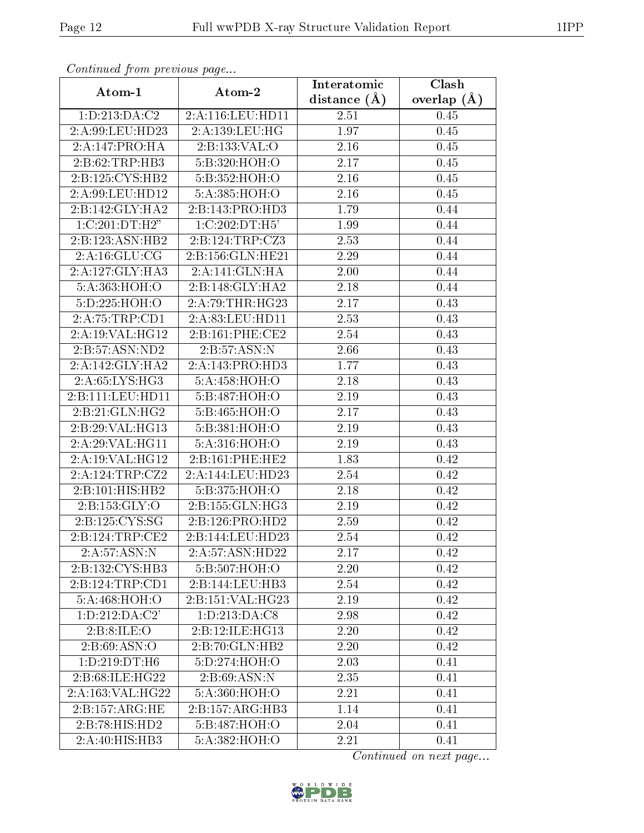| Continuati prom previous page |                             | Interatomic       | Clash           |
|-------------------------------|-----------------------------|-------------------|-----------------|
| Atom-1                        | Atom-2                      | distance $(A)$    | overlap $(\AA)$ |
| 1:D:213:DA:C2                 | 2:A:116:LEU:HD11            | 2.51              | 0.45            |
| 2:A:99:LEU:HD23               | 2:A:139:LEU:HG              | 1.97              | 0.45            |
| 2:A:147:PRO:HA                | 2:B:133:VAL:O               | 2.16              | 0.45            |
| 2:B:62:TRP:HB3                | 5:B:320:HOH:O               | 2.17              | 0.45            |
| 2:B:125:CYS:HB2               | 5:B:352:HOH:O               | 2.16              | 0.45            |
| 2:A:99:LEU:HD12               | 5:A:385:HOH:O               | 2.16              | 0.45            |
| $2:B:142:GLY:H\overline{A2}$  | 2:B:143:PRO:HD3             | 1.79              | 0.44            |
| 1:C:201:DT:H2"                | 1:C:202:DT:H5'              | 1.99              | 0.44            |
| 2:B:123:ASN:HB2               | 2:B:124:TRP:CZ3             | 2.53              | 0.44            |
| 2:A:16:GLU:CG                 | 2:B:156:GLN:HE21            | 2.29              | 0.44            |
| 2:A:127:GLY:HA3               | 2:A:141:GLN:HA              | 2.00              | 0.44            |
| 5:A:363:HOH:O                 | 2:B:148:GLY:HA2             | $\overline{2.18}$ | 0.44            |
| 5:D:225:HOH:O                 | 2:A:79:THR:HG23             | 2.17              | 0.43            |
| 2:A:75:TRP:CD1                | 2:A:83:LEU:HD11             | 2.53              | 0.43            |
| 2:A:19:VAL:HG12               | 2:B:161:PHE:CE2             | 2.54              | 0.43            |
| 2:B:57:ASN:ND2                | 2:B:57:ASN:N                | 2.66              | 0.43            |
| 2:A:142:GLY:HAZ               | 2:A:143:PRO:HD3             | 1.77              | 0.43            |
| 2:A:65:LYS:HG3                | 5: A: 458: HOH:O            | 2.18              | 0.43            |
| 2:B:111:LEU:HD11              | 5:B:487:HOH:O               | 2.19              | 0.43            |
| 2:B:21:GLN:HG2                | 5:B:465:HOH:O               | 2.17              | 0.43            |
| 2:B:29:VAL:HG13               | 5:B:381:HOH:O               | 2.19              | 0.43            |
| 2:A:29:VAL:HG11               | 5:A:316:HOH:O               | 2.19              | 0.43            |
| 2:A:19:VAL:HG12               | 2: B: 161: PHE: HE2         | 1.83              | 0.42            |
| 2:A:124:TRP:CZ2               | 2:A:144:LEU:HD23            | 2.54              | 0.42            |
| 2:B:101:HIS:HB2               | 5:B:375:HOH:O               | 2.18              | 0.42            |
| 2: B: 153: GLY: O             | 2:B:155:GLN:HG3             | 2.19              | 0.42            |
| 2:B:125:CYS:SG                | 2:B:126:PRO:HD2             | 2.59              | 0.42            |
| 2:B:124:TRP:CE2               | 2:B:144:LEU:HD23            | 2.54              | 0.42            |
| 2:A:57:ASN:N                  | 2:A:57:ASN:HD22             | 2.17              | 0.42            |
| 2:B:132:CYS:HB3               | 5:B:507:HOH:O               | 2.20              | 0.42            |
| 2:B:124:TRP:CD1               | 2:B:144:LEU:HB3             | 2.54              | 0.42            |
| 5:A:468:HOH:O                 | 2:B:151:VAL:HG23            | 2.19              | 0.42            |
| 1: D: 212: DA: C2'            | 1:D:213:DA:C8               | 2.98              | 0.42            |
| 2:B:8:ILE:O                   | 2:B:12:ILE:HG13             | 2.20              | 0.42            |
| 2: B:69: ASN:O                | $2:B:70:GLN:H\overline{B2}$ | 2.20              | 0.42            |
| 1:D:219:DT:H6                 | 5:D:274:HOH:O               | 2.03              | 0.41            |
| 2:B:68:ILE:HG22               | 2: B:69: ASN:N              | 2.35              | 0.41            |
| $2:A:163:V\overline{AL:HG22}$ | 5:A:360:HOH:O               | 2.21              | 0.41            |
| 2: B: 157: ARG: HE            | 2:B:157:ARG:HB3             | 1.14              | 0.41            |
| 2:B:78:HIS:HD2                | 5:B:487:HOH:O               | 2.04              | 0.41            |
| 2:A:40:HIS:HB3                | 5:A:382:HOH:O               | 2.21              | 0.41            |

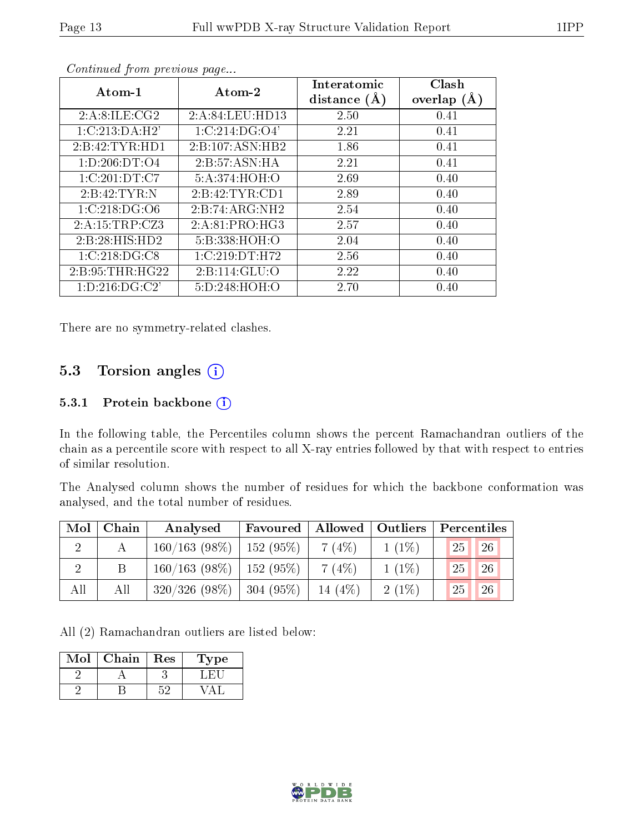| Atom-1             | Atom-2          | Interatomic<br>distance $(A)$ | Clash<br>overlap $(A)$ |
|--------------------|-----------------|-------------------------------|------------------------|
| 2:A:8:ILE:CG2      | 2:A:84:LEU:HD13 | 2.50                          | 0.41                   |
| 1: C: 213: DA: H2' | 1:C:214:DG:O4'  | 2.21                          | 0.41                   |
| 2:B:42:TYR:HD1     | 2:B:107:ASN:HB2 | 1.86                          | 0.41                   |
| 1: D: 206: DT: O4  | 2:B:57:ASN:HA   | 2.21                          | 0.41                   |
| 1:C:201:DT:C7      | 5:A:374:HOH:O   | 2.69                          | 0.40                   |
| 2:B:42:TYR:N       | 2:B:42:TYR:CD1  | 2.89                          | 0.40                   |
| 1: C: 218: DG: O6  | 2:B:74:ARG:NH2  | 2.54                          | 0.40                   |
| 2:A:15:TRP:CZ3     | 2:A:81:PRO:HG3  | 2.57                          | 0.40                   |
| 2:B:28:HIS:HD2     | 5:B:338:HOH:O   | 2.04                          | 0.40                   |
| 1:C:218:DG:CS      | 1:C:219:DT:H72  | 2.56                          | 0.40                   |
| 2: B:95:THR:HG22   | 2:B:114:GLU:O   | 2.22                          | 0.40                   |
| 1: D: 216: DG: C2' | 5:D:248:HOH:O   | 2.70                          | 0.40                   |

There are no symmetry-related clashes.

# 5.3 Torsion angles (i)

### 5.3.1 Protein backbone (i)

In the following table, the Percentiles column shows the percent Ramachandran outliers of the chain as a percentile score with respect to all X-ray entries followed by that with respect to entries of similar resolution.

The Analysed column shows the number of residues for which the backbone conformation was analysed, and the total number of residues.

| Mol | Chain | Analysed                      | Favoured |           | Allowed   Outliers | Percentiles         |
|-----|-------|-------------------------------|----------|-----------|--------------------|---------------------|
|     |       | $160/163$ (98\%)   152 (95\%) |          | 7(4%)     | $1(1\%)$           | 25<br><sup>26</sup> |
|     |       | $160/163$ (98\%)   152 (95\%) |          | 7(4%)     | $1(1\%)$           | 26<br>25            |
| All | All   | $320/326$ (98\%)   304 (95\%) |          | 14 $(4%)$ | $2(1\%)$           | 26<br>25            |

All (2) Ramachandran outliers are listed below:

| Mol | Chain | Res | Type |
|-----|-------|-----|------|
|     |       |     |      |
|     |       |     |      |

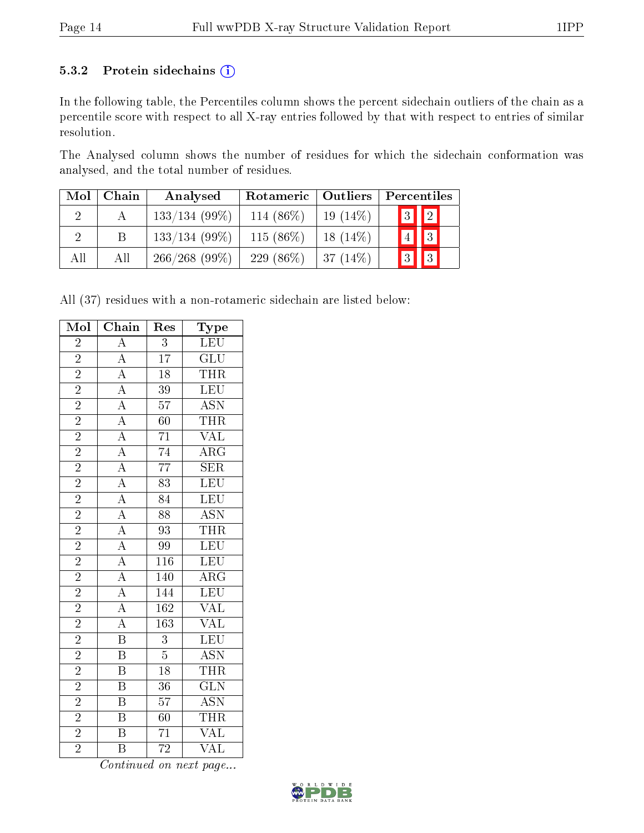### 5.3.2 Protein sidechains (i)

In the following table, the Percentiles column shows the percent sidechain outliers of the chain as a percentile score with respect to all X-ray entries followed by that with respect to entries of similar resolution.

The Analysed column shows the number of residues for which the sidechain conformation was analysed, and the total number of residues.

| Mol | Chain | Analysed        | Rotameric   Outliers |            | Percentiles |                       |
|-----|-------|-----------------|----------------------|------------|-------------|-----------------------|
|     |       | $133/134(99\%)$ | 114 (86\%)           | $19(14\%)$ |             | $\sqrt{3}$ $\sqrt{2}$ |
|     | Β     | $133/134(99\%)$ | 115 $(86\%)$         | $18(14\%)$ |             | $4$     3             |
| All | All   | 266/268(99%)    | 229 (86\%)           | $37(14\%)$ |             | $3$     3             |

All (37) residues with a non-rotameric sidechain are listed below:

| Mol                      | Chain                                                                                                                                                                                                                                                                                                       | Res              | ${\rm \bar{Type}}$                                            |
|--------------------------|-------------------------------------------------------------------------------------------------------------------------------------------------------------------------------------------------------------------------------------------------------------------------------------------------------------|------------------|---------------------------------------------------------------|
| $\overline{2}$           | $\overline{A}$                                                                                                                                                                                                                                                                                              | $\overline{3}$   | LEU                                                           |
| $\overline{2}$           |                                                                                                                                                                                                                                                                                                             | $\overline{17}$  | $\overline{\text{GLU}}$                                       |
| $\overline{2}$           |                                                                                                                                                                                                                                                                                                             | $\overline{18}$  | THR                                                           |
|                          |                                                                                                                                                                                                                                                                                                             | $\overline{39}$  | LEU                                                           |
| $\frac{\overline{2}}{2}$ |                                                                                                                                                                                                                                                                                                             | $\overline{57}$  | <b>ASN</b>                                                    |
|                          |                                                                                                                                                                                                                                                                                                             | $\overline{60}$  | <b>THR</b>                                                    |
| $\overline{2}$           |                                                                                                                                                                                                                                                                                                             | $\overline{71}$  | $\overline{\text{VAL}}$                                       |
| $\overline{2}$           |                                                                                                                                                                                                                                                                                                             | $\frac{74}{1}$   | $\overline{\rm ARG}$                                          |
| $\overline{2}$           | $\frac{\overline{A}}{\overline{A}}\frac{\overline{A}}{\overline{A}}\frac{\overline{A}}{\overline{A}}\frac{\overline{A}}{\overline{A}}\frac{\overline{A}}{\overline{A}}\frac{\overline{A}}{\overline{A}}\frac{\overline{A}}{\overline{A}}\frac{\overline{A}}{\overline{A}}\frac{\overline{A}}{\overline{A}}$ | $\overline{77}$  | $\overline{\text{SER}}$                                       |
| $\overline{2}$           |                                                                                                                                                                                                                                                                                                             | $\overline{83}$  | LEU                                                           |
| $\overline{2}$           |                                                                                                                                                                                                                                                                                                             | $\overline{84}$  | $\overline{\text{LEU}}$                                       |
| $\overline{2}$           |                                                                                                                                                                                                                                                                                                             | $\overline{88}$  | $\frac{\overline{\mathrm{ASN}}}{\overline{\mathrm{THR}}}$ LEU |
| $\frac{2}{2}$            |                                                                                                                                                                                                                                                                                                             | $\overline{93}$  |                                                               |
|                          |                                                                                                                                                                                                                                                                                                             | $\overline{99}$  |                                                               |
| $\frac{2}{2}$            |                                                                                                                                                                                                                                                                                                             | $\overline{116}$ | LEU                                                           |
|                          |                                                                                                                                                                                                                                                                                                             | $\overline{140}$ | $\frac{\overline{\text{ARG}}}{\text{LEU}}$                    |
| $\overline{2}$           |                                                                                                                                                                                                                                                                                                             | 144              |                                                               |
| $\overline{2}$           |                                                                                                                                                                                                                                                                                                             | $\overline{162}$ |                                                               |
| $\overline{2}$           |                                                                                                                                                                                                                                                                                                             | 163              | VAL<br>VAL                                                    |
| $\overline{2}$           | $\overline{\mathbf{B}}$                                                                                                                                                                                                                                                                                     | $\overline{3}$   | LEU                                                           |
| $\overline{2}$           | $\overline{\mathbf{B}}$                                                                                                                                                                                                                                                                                     | $\overline{5}$   | $\overline{\text{ASN}}$                                       |
| $\overline{2}$           | $\overline{\mathbf{B}}$                                                                                                                                                                                                                                                                                     | $\overline{18}$  | <b>THR</b>                                                    |
| $\overline{2}$           | $\overline{\mathrm{B}}$                                                                                                                                                                                                                                                                                     | $\overline{36}$  | $\overline{\text{GLN}}$                                       |
| $\overline{2}$           | $\overline{\mathrm{B}}$                                                                                                                                                                                                                                                                                     | $\overline{57}$  | $\frac{\overline{\mathrm{ASN}}}{\overline{\mathrm{THR}}}$ VAL |
| $\frac{2}{2}$            | $\overline{\text{B}}$                                                                                                                                                                                                                                                                                       | $\overline{60}$  |                                                               |
|                          | $\overline{\mathrm{B}}$                                                                                                                                                                                                                                                                                     | $\overline{71}$  |                                                               |
| $\overline{2}$           | $\overline{\textrm{B}}$                                                                                                                                                                                                                                                                                     | $\overline{72}$  | $\overline{\text{VAL}}$                                       |

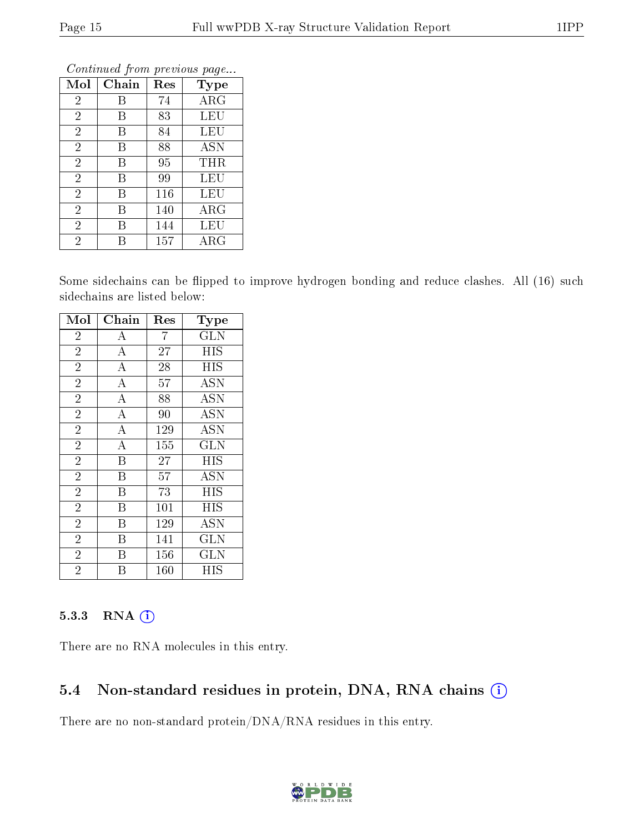| Mol            | Chain | Res | Type       |
|----------------|-------|-----|------------|
| $\overline{2}$ | Β     | 74  | $\rm{ARG}$ |
| $\overline{2}$ | В     | 83  | <b>LEU</b> |
| $\overline{2}$ | Β     | 84  | LEU        |
| $\overline{2}$ | Β     | 88  | ASN        |
| $\overline{2}$ | В     | 95  | THR        |
| $\overline{2}$ | В     | 99  | LEU        |
| $\overline{2}$ | Β     | 116 | LEU        |
| $\overline{2}$ | В     | 140 | $\rm{ARG}$ |
| $\overline{2}$ | В     | 144 | LEU        |
| $\overline{2}$ | R     | 157 | $\rm{ARG}$ |

Some sidechains can be flipped to improve hydrogen bonding and reduce clashes. All (16) such sidechains are listed below:

| Mol            | Chain              | $\operatorname{Res}% \left( \mathcal{N}\right) \equiv\operatorname{Res}(\mathcal{N}_{0})\cap\mathcal{N}_{1}$ | Type                    |
|----------------|--------------------|--------------------------------------------------------------------------------------------------------------|-------------------------|
| $\overline{2}$ | $\boldsymbol{A}$   | 7                                                                                                            | <b>GLN</b>              |
| $\overline{2}$ | $\boldsymbol{A}$   | 27                                                                                                           | <b>HIS</b>              |
| $\overline{2}$ | $\bf{A}$           | 28                                                                                                           | HIS                     |
| $\overline{2}$ | $\boldsymbol{A}$   | 57                                                                                                           | <b>ASN</b>              |
| $\overline{2}$ | $\overline{A}$     | 88                                                                                                           | <b>ASN</b>              |
| $\overline{2}$ | $\overline{\rm A}$ | 90                                                                                                           | <b>ASN</b>              |
| $\overline{2}$ | $\overline{\rm A}$ | 129                                                                                                          | <b>ASN</b>              |
| $\overline{2}$ | $\bf{A}$           | 155                                                                                                          | <b>GLN</b>              |
| $\overline{2}$ | B                  | 27                                                                                                           | <b>HIS</b>              |
| $\overline{2}$ | B                  | 57                                                                                                           | <b>ASN</b>              |
| $\overline{2}$ | B                  | 73                                                                                                           | <b>HIS</b>              |
| $\overline{2}$ | B                  | 101                                                                                                          | HIS                     |
| $\overline{2}$ | Β                  | 129                                                                                                          | <b>ASN</b>              |
| $\overline{2}$ | Β                  | 141                                                                                                          | $\overline{\text{GLN}}$ |
| $\overline{2}$ | B                  | 156                                                                                                          | <b>GLN</b>              |
| $\overline{2}$ | B                  | 160                                                                                                          | HIS                     |

### 5.3.3 RNA (1)

There are no RNA molecules in this entry.

# 5.4 Non-standard residues in protein, DNA, RNA chains (i)

There are no non-standard protein/DNA/RNA residues in this entry.

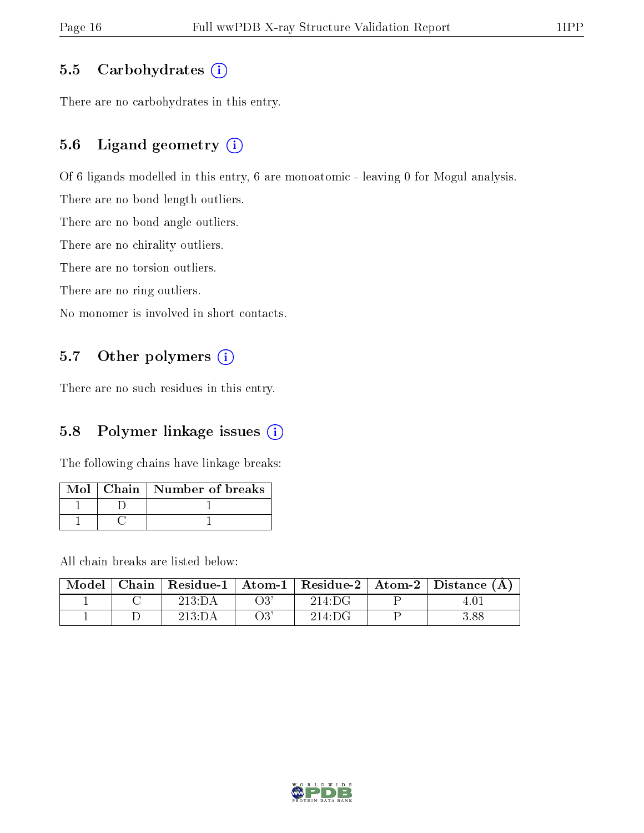### 5.5 Carbohydrates  $(i)$

There are no carbohydrates in this entry.

# 5.6 Ligand geometry (i)

Of 6 ligands modelled in this entry, 6 are monoatomic - leaving 0 for Mogul analysis.

There are no bond length outliers.

There are no bond angle outliers.

There are no chirality outliers.

There are no torsion outliers.

There are no ring outliers.

No monomer is involved in short contacts.

# 5.7 [O](https://www.wwpdb.org/validation/2017/XrayValidationReportHelp#nonstandard_residues_and_ligands)ther polymers (i)

There are no such residues in this entry.

# 5.8 Polymer linkage issues  $(i)$

The following chains have linkage breaks:

|  | Mol∣Chain∣Number of breaks |
|--|----------------------------|
|  |                            |
|  |                            |

All chain breaks are listed below:

|  |        |     |        | Model   Chain   Residue-1   Atom-1   Residue-2   Atom-2   Distance $(A)$ |
|--|--------|-----|--------|--------------------------------------------------------------------------|
|  | 213:DA | О3  | 214:DG |                                                                          |
|  | 213:DA | O3: | 214:DG | 3.88                                                                     |